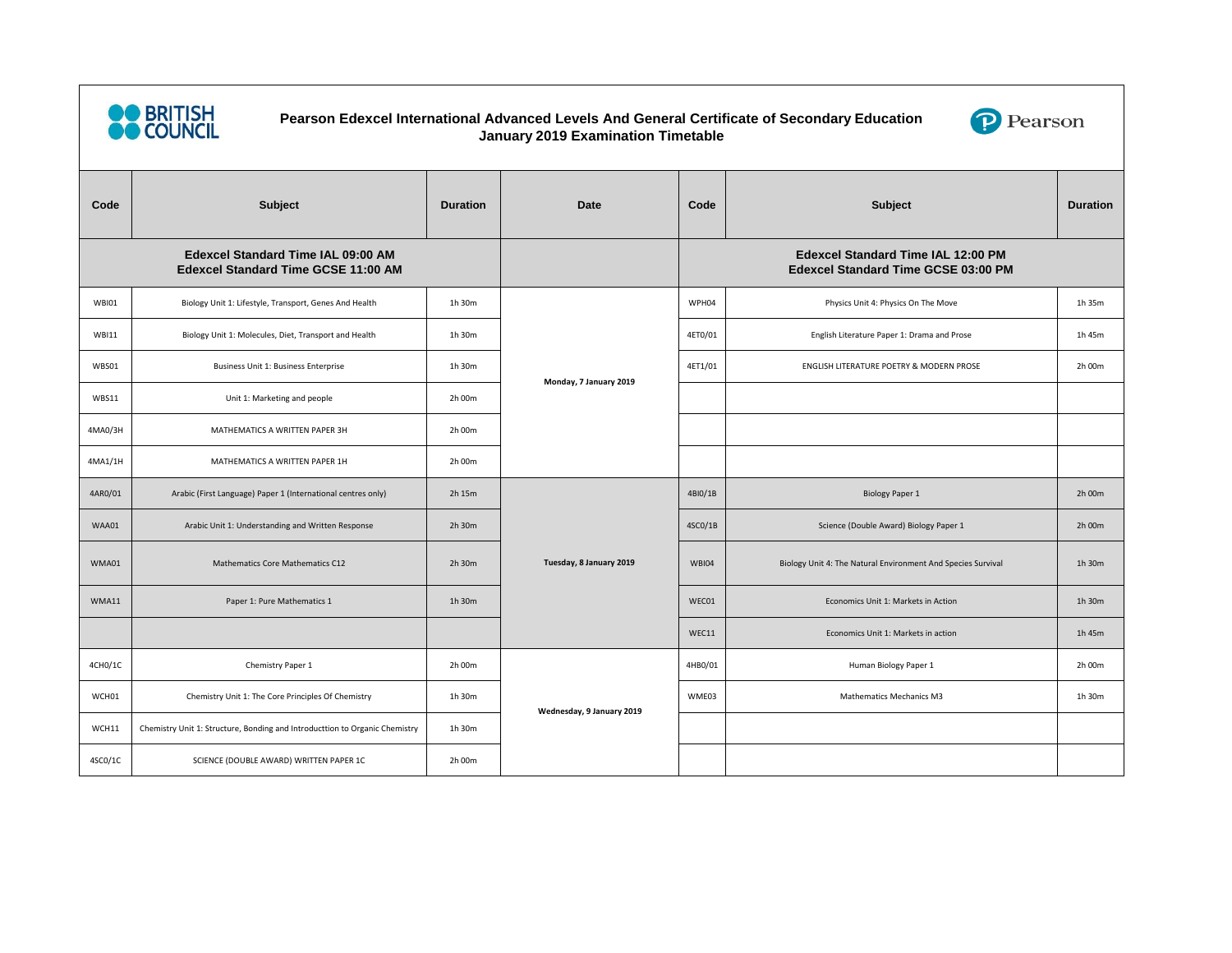

## **Pearson Edexcel International Advanced Levels And General Certificate of Secondary Education January 2019 Examination Timetable**



| Code                                                                                    | <b>Subject</b>                                                              | <b>Duration</b> | <b>Date</b>               | Code                                                                                    | <b>Subject</b>                                               | <b>Duration</b> |
|-----------------------------------------------------------------------------------------|-----------------------------------------------------------------------------|-----------------|---------------------------|-----------------------------------------------------------------------------------------|--------------------------------------------------------------|-----------------|
| <b>Edexcel Standard Time IAL 09:00 AM</b><br><b>Edexcel Standard Time GCSE 11:00 AM</b> |                                                                             |                 |                           | <b>Edexcel Standard Time IAL 12:00 PM</b><br><b>Edexcel Standard Time GCSE 03:00 PM</b> |                                                              |                 |
| <b>WBI01</b>                                                                            | Biology Unit 1: Lifestyle, Transport, Genes And Health                      | 1h 30m          | Monday, 7 January 2019    | WPH04                                                                                   | Physics Unit 4: Physics On The Move                          | 1h 35m          |
| <b>WBI11</b>                                                                            | Biology Unit 1: Molecules, Diet, Transport and Health                       | 1h 30m          |                           | 4ET0/01                                                                                 | English Literature Paper 1: Drama and Prose                  | 1h 45m          |
| WBS01                                                                                   | Business Unit 1: Business Enterprise                                        | 1h 30m          |                           | 4ET1/01                                                                                 | ENGLISH LITERATURE POETRY & MODERN PROSE                     | 2h 00m          |
| WBS11                                                                                   | Unit 1: Marketing and people                                                | 2h 00m          |                           |                                                                                         |                                                              |                 |
| 4MA0/3H                                                                                 | MATHEMATICS A WRITTEN PAPER 3H                                              | 2h 00m          |                           |                                                                                         |                                                              |                 |
| 4MA1/1H                                                                                 | MATHEMATICS A WRITTEN PAPER 1H                                              | 2h 00m          |                           |                                                                                         |                                                              |                 |
| 4AR0/01                                                                                 | Arabic (First Language) Paper 1 (International centres only)                | 2h 15m          | Tuesday, 8 January 2019   | 4BI0/1B                                                                                 | <b>Biology Paper 1</b>                                       | 2h 00m          |
| WAA01                                                                                   | Arabic Unit 1: Understanding and Written Response                           | 2h 30m          |                           | 4SC0/1B                                                                                 | Science (Double Award) Biology Paper 1                       | 2h 00m          |
| WMA01                                                                                   | Mathematics Core Mathematics C12                                            | 2h 30m          |                           | <b>WBI04</b>                                                                            | Biology Unit 4: The Natural Environment And Species Survival | 1h 30m          |
| WMA11                                                                                   | Paper 1: Pure Mathematics 1                                                 | 1h 30m          |                           | WEC01                                                                                   | Economics Unit 1: Markets in Action                          | 1h 30m          |
|                                                                                         |                                                                             |                 |                           | WEC11                                                                                   | Economics Unit 1: Markets in action                          | 1h 45m          |
| 4CH0/1C                                                                                 | Chemistry Paper 1                                                           | 2h 00m          | Wednesday, 9 January 2019 | 4HB0/01                                                                                 | Human Biology Paper 1                                        | 2h 00m          |
| WCH01                                                                                   | Chemistry Unit 1: The Core Principles Of Chemistry                          | 1h 30m          |                           | WME03                                                                                   | Mathematics Mechanics M3                                     | 1h 30m          |
| WCH11                                                                                   | Chemistry Unit 1: Structure, Bonding and Introducttion to Organic Chemistry | 1h 30m          |                           |                                                                                         |                                                              |                 |
| 4SC0/1C                                                                                 | SCIENCE (DOUBLE AWARD) WRITTEN PAPER 1C                                     | 2h 00m          |                           |                                                                                         |                                                              |                 |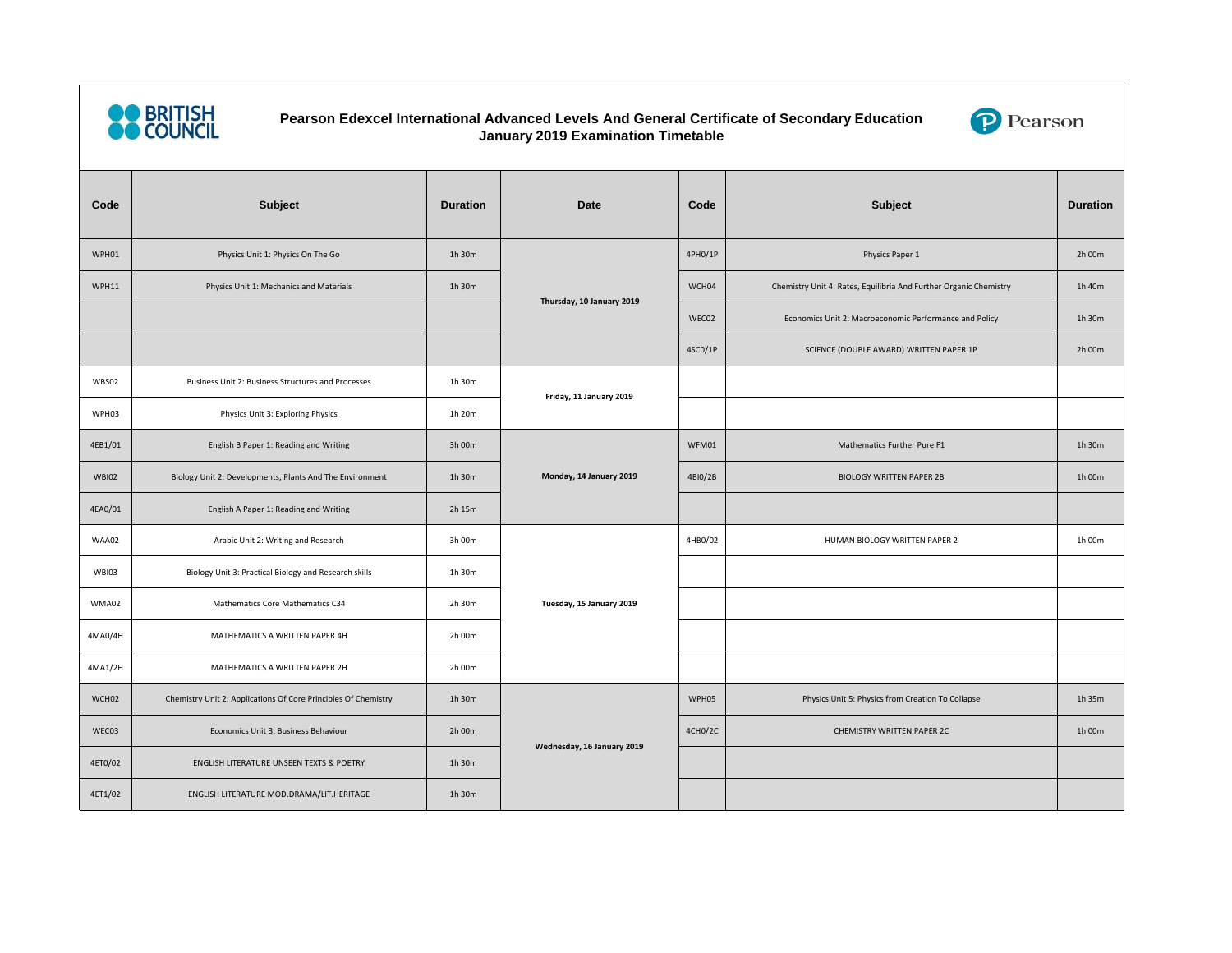

## **Pearson Edexcel International Advanced Levels And General Certificate of Secondary Education January 2019 Examination Timetable**



| Code         | Subject                                                        | <b>Duration</b> | <b>Date</b>                | Code    | <b>Subject</b>                                                    | <b>Duration</b> |
|--------------|----------------------------------------------------------------|-----------------|----------------------------|---------|-------------------------------------------------------------------|-----------------|
| WPH01        | Physics Unit 1: Physics On The Go                              | 1h 30m          | Thursday, 10 January 2019  | 4PH0/1P | Physics Paper 1                                                   | 2h 00m          |
| WPH11        | Physics Unit 1: Mechanics and Materials                        | 1h 30m          |                            | WCH04   | Chemistry Unit 4: Rates, Equilibria And Further Organic Chemistry | 1h 40m          |
|              |                                                                |                 |                            | WEC02   | Economics Unit 2: Macroeconomic Performance and Policy            | 1h 30m          |
|              |                                                                |                 |                            | 4SC0/1P | SCIENCE (DOUBLE AWARD) WRITTEN PAPER 1P                           | 2h 00m          |
| WBS02        | Business Unit 2: Business Structures and Processes             | 1h 30m          | Friday, 11 January 2019    |         |                                                                   |                 |
| WPH03        | Physics Unit 3: Exploring Physics                              | 1h 20m          |                            |         |                                                                   |                 |
| 4EB1/01      | English B Paper 1: Reading and Writing                         | 3h 00m          | Monday, 14 January 2019    | WFM01   | Mathematics Further Pure F1                                       | 1h 30m          |
| <b>WBI02</b> | Biology Unit 2: Developments, Plants And The Environment       | 1h 30m          |                            | 4BI0/2B | <b>BIOLOGY WRITTEN PAPER 2B</b>                                   | 1h 00m          |
| 4EA0/01      | English A Paper 1: Reading and Writing                         | 2h 15m          |                            |         |                                                                   |                 |
| WAA02        | Arabic Unit 2: Writing and Research                            | 3h 00m          | Tuesday, 15 January 2019   | 4HB0/02 | HUMAN BIOLOGY WRITTEN PAPER 2                                     | 1h 00m          |
| <b>WBI03</b> | Biology Unit 3: Practical Biology and Research skills          | 1h 30m          |                            |         |                                                                   |                 |
| WMA02        | Mathematics Core Mathematics C34                               | 2h 30m          |                            |         |                                                                   |                 |
| 4MA0/4H      | MATHEMATICS A WRITTEN PAPER 4H                                 | 2h 00m          |                            |         |                                                                   |                 |
| 4MA1/2H      | MATHEMATICS A WRITTEN PAPER 2H                                 | 2h 00m          |                            |         |                                                                   |                 |
| WCH02        | Chemistry Unit 2: Applications Of Core Principles Of Chemistry | 1h 30m          | Wednesday, 16 January 2019 | WPH05   | Physics Unit 5: Physics from Creation To Collapse                 | 1h 35m          |
| WEC03        | Economics Unit 3: Business Behaviour                           | 2h 00m          |                            | 4CH0/2C | CHEMISTRY WRITTEN PAPER 2C                                        | 1h 00m          |
| 4ET0/02      | ENGLISH LITERATURE UNSEEN TEXTS & POETRY                       | 1h 30m          |                            |         |                                                                   |                 |
| 4ET1/02      | ENGLISH LITERATURE MOD.DRAMA/LIT.HERITAGE                      | 1h 30m          |                            |         |                                                                   |                 |